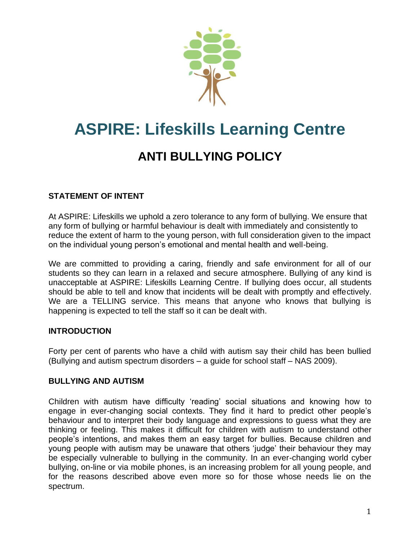

# **ASPIRE: Lifeskills Learning Centre**

# **ANTI BULLYING POLICY**

#### **STATEMENT OF INTENT**

At ASPIRE: Lifeskills we uphold a zero tolerance to any form of bullying. We ensure that any form of bullying or harmful behaviour is dealt with immediately and consistently to reduce the extent of harm to the young person, with full consideration given to the impact on the individual young person's emotional and mental health and well-being.

We are committed to providing a caring, friendly and safe environment for all of our students so they can learn in a relaxed and secure atmosphere. Bullying of any kind is unacceptable at ASPIRE: Lifeskills Learning Centre. If bullying does occur, all students should be able to tell and know that incidents will be dealt with promptly and effectively. We are a TELLING service. This means that anyone who knows that bullying is happening is expected to tell the staff so it can be dealt with.

#### **INTRODUCTION**

Forty per cent of parents who have a child with autism say their child has been bullied (Bullying and autism spectrum disorders – a guide for school staff – NAS 2009).

#### **BULLYING AND AUTISM**

Children with autism have difficulty 'reading' social situations and knowing how to engage in ever-changing social contexts. They find it hard to predict other people's behaviour and to interpret their body language and expressions to guess what they are thinking or feeling. This makes it difficult for children with autism to understand other people's intentions, and makes them an easy target for bullies. Because children and young people with autism may be unaware that others 'judge' their behaviour they may be especially vulnerable to bullying in the community. In an ever-changing world cyber bullying, on-line or via mobile phones, is an increasing problem for all young people, and for the reasons described above even more so for those whose needs lie on the spectrum.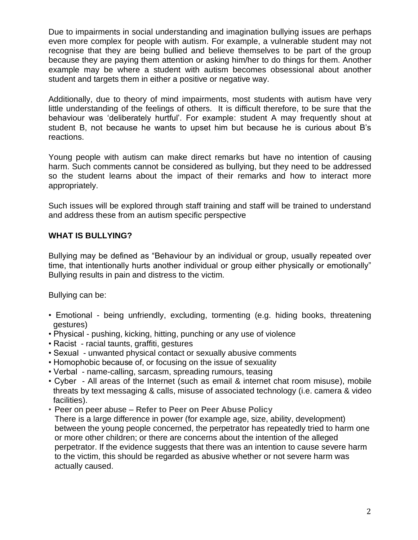Due to impairments in social understanding and imagination bullying issues are perhaps even more complex for people with autism. For example, a vulnerable student may not recognise that they are being bullied and believe themselves to be part of the group because they are paying them attention or asking him/her to do things for them. Another example may be where a student with autism becomes obsessional about another student and targets them in either a positive or negative way.

Additionally, due to theory of mind impairments, most students with autism have very little understanding of the feelings of others. It is difficult therefore, to be sure that the behaviour was 'deliberately hurtful'. For example: student A may frequently shout at student B, not because he wants to upset him but because he is curious about B's reactions.

Young people with autism can make direct remarks but have no intention of causing harm. Such comments cannot be considered as bullying, but they need to be addressed so the student learns about the impact of their remarks and how to interact more appropriately.

Such issues will be explored through staff training and staff will be trained to understand and address these from an autism specific perspective

#### **WHAT IS BULLYING?**

Bullying may be defined as "Behaviour by an individual or group, usually repeated over time, that intentionally hurts another individual or group either physically or emotionally" Bullying results in pain and distress to the victim.

Bullying can be:

- Emotional being unfriendly, excluding, tormenting (e.g. hiding books, threatening gestures)
- Physical pushing, kicking, hitting, punching or any use of violence
- Racist racial taunts, graffiti, gestures
- Sexual unwanted physical contact or sexually abusive comments
- Homophobic because of, or focusing on the issue of sexuality
- Verbal name-calling, sarcasm, spreading rumours, teasing
- Cyber All areas of the Internet (such as email & internet chat room misuse), mobile threats by text messaging & calls, misuse of associated technology (i.e. camera & video facilities).
- Peer on peer abuse **Refer to Peer on Peer Abuse Policy**

There is a large difference in power (for example age, size, ability, development) between the young people concerned, the perpetrator has repeatedly tried to harm one or more other children; or there are concerns about the intention of the alleged perpetrator. If the evidence suggests that there was an intention to cause severe harm to the victim, this should be regarded as abusive whether or not severe harm was actually caused.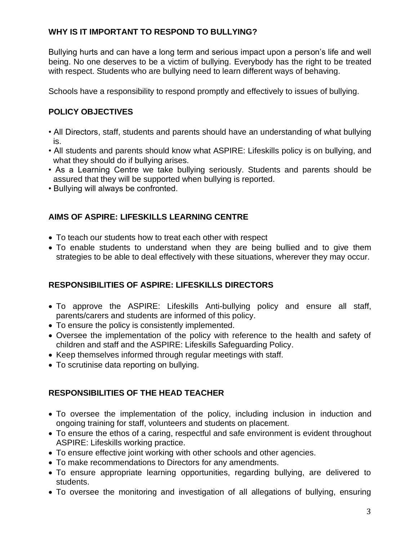# **WHY IS IT IMPORTANT TO RESPOND TO BULLYING?**

Bullying hurts and can have a long term and serious impact upon a person's life and well being. No one deserves to be a victim of bullying. Everybody has the right to be treated with respect. Students who are bullying need to learn different ways of behaving.

Schools have a responsibility to respond promptly and effectively to issues of bullying.

# **POLICY OBJECTIVES**

- All Directors, staff, students and parents should have an understanding of what bullying is.
- All students and parents should know what ASPIRE: Lifeskills policy is on bullying, and what they should do if bullying arises.
- As a Learning Centre we take bullying seriously. Students and parents should be assured that they will be supported when bullying is reported.
- Bullying will always be confronted.

# **AIMS OF ASPIRE: LIFESKILLS LEARNING CENTRE**

- To teach our students how to treat each other with respect
- To enable students to understand when they are being bullied and to give them strategies to be able to deal effectively with these situations, wherever they may occur.

# **RESPONSIBILITIES OF ASPIRE: LIFESKILLS DIRECTORS**

- To approve the ASPIRE: Lifeskills Anti-bullying policy and ensure all staff, parents/carers and students are informed of this policy.
- To ensure the policy is consistently implemented.
- Oversee the implementation of the policy with reference to the health and safety of children and staff and the ASPIRE: Lifeskills Safeguarding Policy.
- Keep themselves informed through regular meetings with staff.
- To scrutinise data reporting on bullying.

# **RESPONSIBILITIES OF THE HEAD TEACHER**

- To oversee the implementation of the policy, including inclusion in induction and ongoing training for staff, volunteers and students on placement.
- To ensure the ethos of a caring, respectful and safe environment is evident throughout ASPIRE: Lifeskills working practice.
- To ensure effective joint working with other schools and other agencies.
- To make recommendations to Directors for any amendments.
- To ensure appropriate learning opportunities, regarding bullying, are delivered to students.
- To oversee the monitoring and investigation of all allegations of bullying, ensuring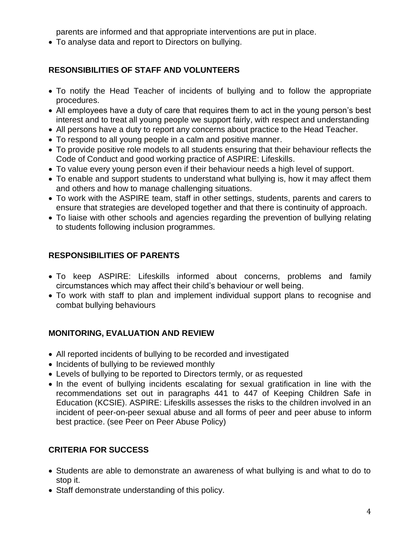parents are informed and that appropriate interventions are put in place.

• To analyse data and report to Directors on bullying.

# **RESONSIBILITIES OF STAFF AND VOLUNTEERS**

- To notify the Head Teacher of incidents of bullying and to follow the appropriate procedures.
- All employees have a duty of care that requires them to act in the young person's best interest and to treat all young people we support fairly, with respect and understanding
- All persons have a duty to report any concerns about practice to the Head Teacher.
- To respond to all young people in a calm and positive manner.
- To provide positive role models to all students ensuring that their behaviour reflects the Code of Conduct and good working practice of ASPIRE: Lifeskills.
- To value every young person even if their behaviour needs a high level of support.
- To enable and support students to understand what bullying is, how it may affect them and others and how to manage challenging situations.
- To work with the ASPIRE team, staff in other settings, students, parents and carers to ensure that strategies are developed together and that there is continuity of approach.
- To liaise with other schools and agencies regarding the prevention of bullying relating to students following inclusion programmes.

# **RESPONSIBILITIES OF PARENTS**

- To keep ASPIRE: Lifeskills informed about concerns, problems and family circumstances which may affect their child's behaviour or well being.
- To work with staff to plan and implement individual support plans to recognise and combat bullying behaviours

#### **MONITORING, EVALUATION AND REVIEW**

- All reported incidents of bullying to be recorded and investigated
- Incidents of bullying to be reviewed monthly
- Levels of bullying to be reported to Directors termly, or as requested
- In the event of bullying incidents escalating for sexual gratification in line with the recommendations set out in paragraphs 441 to 447 of Keeping Children Safe in Education (KCSIE). ASPIRE: Lifeskills assesses the risks to the children involved in an incident of peer-on-peer sexual abuse and all forms of peer and peer abuse to inform best practice. (see Peer on Peer Abuse Policy)

# **CRITERIA FOR SUCCESS**

- Students are able to demonstrate an awareness of what bullying is and what to do to stop it.
- Staff demonstrate understanding of this policy.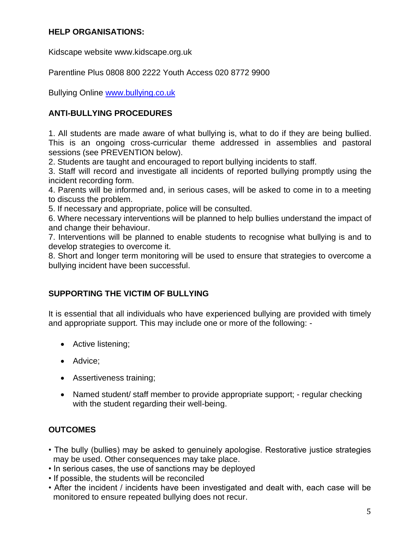#### **HELP ORGANISATIONS:**

Kidscape website www.kidscape.org.uk

Parentline Plus 0808 800 2222 Youth Access 020 8772 9900

Bullying Online [www.bullying.co.uk](http://www.bullying.co.uk/)

# **ANTI-BULLYING PROCEDURES**

1. All students are made aware of what bullying is, what to do if they are being bullied. This is an ongoing cross-curricular theme addressed in assemblies and pastoral sessions (see PREVENTION below).

2. Students are taught and encouraged to report bullying incidents to staff.

3. Staff will record and investigate all incidents of reported bullying promptly using the incident recording form.

4. Parents will be informed and, in serious cases, will be asked to come in to a meeting to discuss the problem.

5. If necessary and appropriate, police will be consulted.

6. Where necessary interventions will be planned to help bullies understand the impact of and change their behaviour.

7. Interventions will be planned to enable students to recognise what bullying is and to develop strategies to overcome it.

8. Short and longer term monitoring will be used to ensure that strategies to overcome a bullying incident have been successful.

#### **SUPPORTING THE VICTIM OF BULLYING**

It is essential that all individuals who have experienced bullying are provided with timely and appropriate support. This may include one or more of the following: -

- Active listening;
- Advice;
- Assertiveness training;
- Named student/ staff member to provide appropriate support; regular checking with the student regarding their well-being.

#### **OUTCOMES**

- The bully (bullies) may be asked to genuinely apologise. Restorative justice strategies may be used. Other consequences may take place.
- In serious cases, the use of sanctions may be deployed
- If possible, the students will be reconciled
- After the incident / incidents have been investigated and dealt with, each case will be monitored to ensure repeated bullying does not recur.